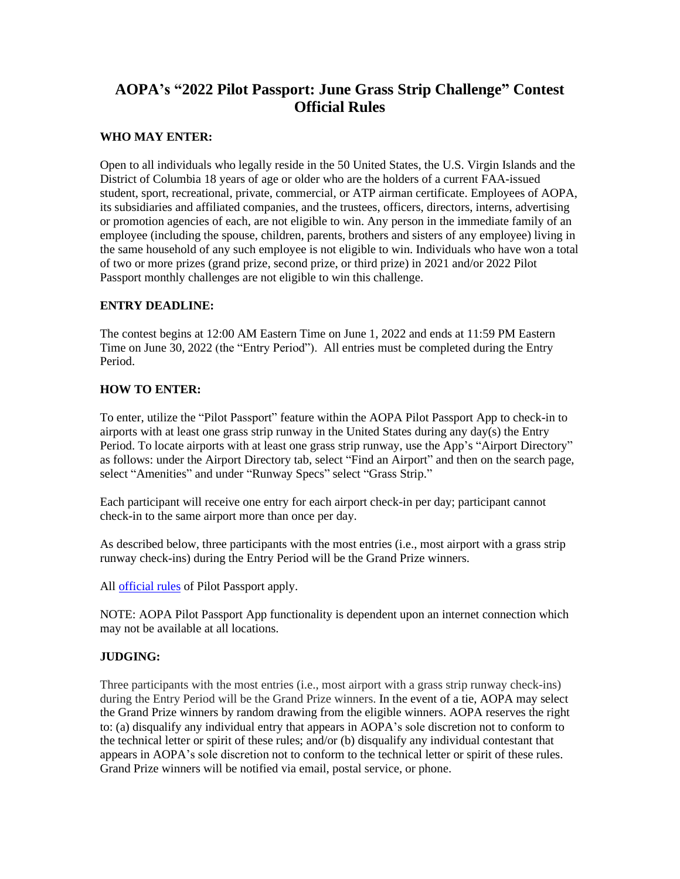# **AOPA's "2022 Pilot Passport: June Grass Strip Challenge" Contest Official Rules**

# **WHO MAY ENTER:**

Open to all individuals who legally reside in the 50 United States, the U.S. Virgin Islands and the District of Columbia 18 years of age or older who are the holders of a current FAA-issued student, sport, recreational, private, commercial, or ATP airman certificate. Employees of AOPA, its subsidiaries and affiliated companies, and the trustees, officers, directors, interns, advertising or promotion agencies of each, are not eligible to win. Any person in the immediate family of an employee (including the spouse, children, parents, brothers and sisters of any employee) living in the same household of any such employee is not eligible to win. Individuals who have won a total of two or more prizes (grand prize, second prize, or third prize) in 2021 and/or 2022 Pilot Passport monthly challenges are not eligible to win this challenge.

## **ENTRY DEADLINE:**

The contest begins at 12:00 AM Eastern Time on June 1, 2022 and ends at 11:59 PM Eastern Time on June 30, 2022 (the "Entry Period"). All entries must be completed during the Entry Period.

## **HOW TO ENTER:**

To enter, utilize the "Pilot Passport" feature within the AOPA Pilot Passport App to check-in to airports with at least one grass strip runway in the United States during any day(s) the Entry Period. To locate airports with at least one grass strip runway, use the App's "Airport Directory" as follows: under the Airport Directory tab, select "Find an Airport" and then on the search page, select "Amenities" and under "Runway Specs" select "Grass Strip."

Each participant will receive one entry for each airport check-in per day; participant cannot check-in to the same airport more than once per day.

As described below, three participants with the most entries (i.e., most airport with a grass strip runway check-ins) during the Entry Period will be the Grand Prize winners.

All **official rules** of Pilot Passport apply.

NOTE: AOPA Pilot Passport App functionality is dependent upon an internet connection which may not be available at all locations.

## **JUDGING:**

Three participants with the most entries (i.e., most airport with a grass strip runway check-ins) during the Entry Period will be the Grand Prize winners. In the event of a tie, AOPA may select the Grand Prize winners by random drawing from the eligible winners. AOPA reserves the right to: (a) disqualify any individual entry that appears in AOPA's sole discretion not to conform to the technical letter or spirit of these rules; and/or (b) disqualify any individual contestant that appears in AOPA's sole discretion not to conform to the technical letter or spirit of these rules. Grand Prize winners will be notified via email, postal service, or phone.